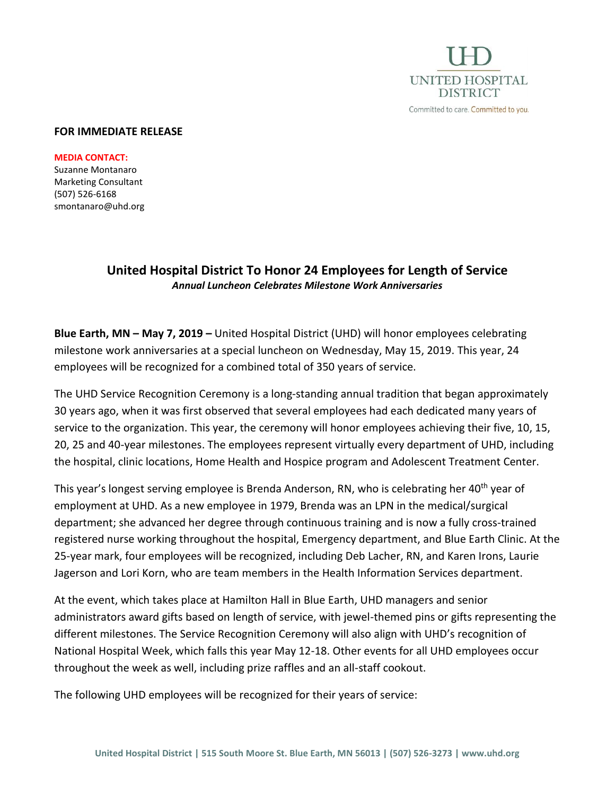

#### **FOR IMMEDIATE RELEASE**

**MEDIA CONTACT:** Suzanne Montanaro Marketing Consultant (507) 526-6168 smontanaro@uhd.org

# **United Hospital District To Honor 24 Employees for Length of Service** *Annual Luncheon Celebrates Milestone Work Anniversaries*

**Blue Earth, MN – May 7, 2019 –** United Hospital District (UHD) will honor employees celebrating milestone work anniversaries at a special luncheon on Wednesday, May 15, 2019. This year, 24 employees will be recognized for a combined total of 350 years of service.

The UHD Service Recognition Ceremony is a long-standing annual tradition that began approximately 30 years ago, when it was first observed that several employees had each dedicated many years of service to the organization. This year, the ceremony will honor employees achieving their five, 10, 15, 20, 25 and 40-year milestones. The employees represent virtually every department of UHD, including the hospital, clinic locations, Home Health and Hospice program and Adolescent Treatment Center.

This year's longest serving employee is Brenda Anderson, RN, who is celebrating her 40<sup>th</sup> year of employment at UHD. As a new employee in 1979, Brenda was an LPN in the medical/surgical department; she advanced her degree through continuous training and is now a fully cross-trained registered nurse working throughout the hospital, Emergency department, and Blue Earth Clinic. At the 25-year mark, four employees will be recognized, including Deb Lacher, RN, and Karen Irons, Laurie Jagerson and Lori Korn, who are team members in the Health Information Services department.

At the event, which takes place at Hamilton Hall in Blue Earth, UHD managers and senior administrators award gifts based on length of service, with jewel-themed pins or gifts representing the different milestones. The Service Recognition Ceremony will also align with UHD's recognition of National Hospital Week, which falls this year May 12-18. Other events for all UHD employees occur throughout the week as well, including prize raffles and an all-staff cookout.

The following UHD employees will be recognized for their years of service: